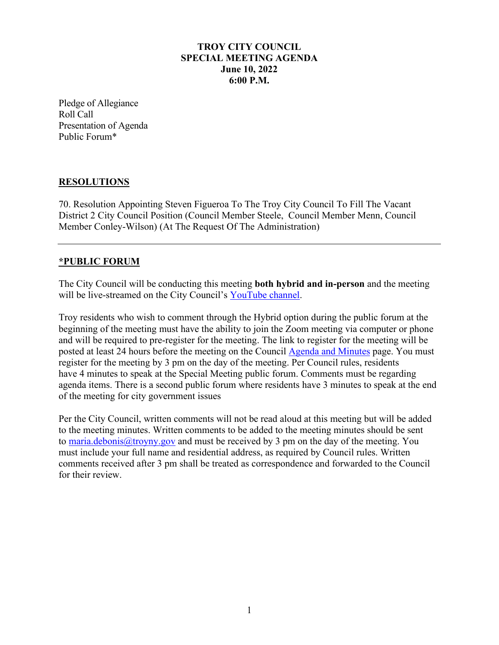## **TROY CITY COUNCIL SPECIAL MEETING AGENDA June 10, 2022 6:00 P.M.**

Pledge of Allegiance Roll Call Presentation of Agenda Public Forum\*

## **RESOLUTIONS**

70. Resolution Appointing Steven Figueroa To The Troy City Council To Fill The Vacant District 2 City Council Position (Council Member Steele, Council Member Menn, Council Member Conley-Wilson) (At The Request Of The Administration)

## **\*PUBLIC FORUM**

The City Council will be conducting this meeting **both hybrid and in-person** and the meeting will be live-streamed on the City Council's [YouTube channel.](https://www.youtube.com/troycitycouncil)

Troy residents who wish to comment through the Hybrid option during the public forum at the beginning of the meeting must have the ability to join the Zoom meeting via computer or phone and will be required to pre-register for the meeting. The link to register for the meeting will be posted at least 24 hours before the meeting on the Council [Agenda and Minutes](https://linkprotect.cudasvc.com/url?a=http%3a%2f%2fwww.troyny.gov%2fgovernment%2fcity-council%2fagenda-minutes%2f&c=E,1,FQsbwKRm6zka-Smi-5zhsLLC8IpEWxBlbvu35DRkWWPSK-v-IEDRYHq17ItuSBiSfsAXa4kzj0mjSZq6FimfrsLYmvBq8dTsGVguWdin9lxFMNorSg80sQ,,&typo=1) page. You must register for the meeting by 3 pm on the day of the meeting. Per Council rules, residents have 4 minutes to speak at the Special Meeting public forum. Comments must be regarding agenda items. There is a second public forum where residents have 3 minutes to speak at the end of the meeting for city government issues

Per the City Council, written comments will not be read aloud at this meeting but will be added to the meeting minutes. Written comments to be added to the meeting minutes should be sent to [maria.debonis@troyny.gov](mailto:maria.debonis@troyny.gov) and must be received by 3 pm on the day of the meeting. You must include your full name and residential address, as required by Council rules. Written comments received after 3 pm shall be treated as correspondence and forwarded to the Council for their review.